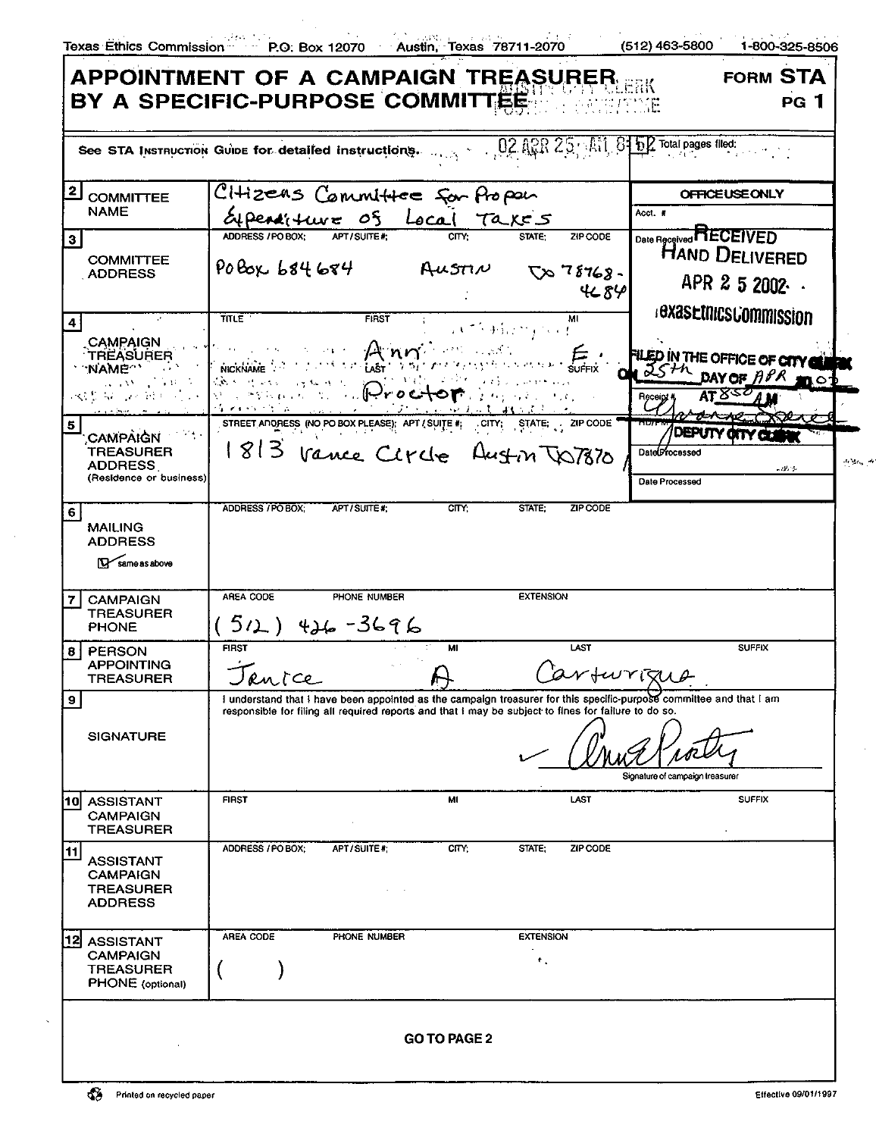$\bar{a}$ 

|                                                                                     | See STA Instruction Guine for detailed instructions. $0, 0, 0, 1, 25$ All $3$ in $7$ Total pages filed:                                                                                                                                          |                                                                                                                                                            |                         |                                 |                                   |
|-------------------------------------------------------------------------------------|--------------------------------------------------------------------------------------------------------------------------------------------------------------------------------------------------------------------------------------------------|------------------------------------------------------------------------------------------------------------------------------------------------------------|-------------------------|---------------------------------|-----------------------------------|
| 2<br><b>COMMITTEE</b>                                                               | CHizeas Committee for fropon                                                                                                                                                                                                                     |                                                                                                                                                            | <b>OFFICE USE ONLY</b>  |                                 |                                   |
| <b>NAME</b>                                                                         | apenditure of Local Takes                                                                                                                                                                                                                        |                                                                                                                                                            |                         | Acct. #                         |                                   |
| з                                                                                   | APT/SUITE#:<br>ADDRESS / PO BOX:                                                                                                                                                                                                                 |                                                                                                                                                            | STATE:                  | ZIP CODE                        | Date Received <b>HECEIVED</b>     |
| <b>COMMITTEE</b><br><b>ADDRESS</b>                                                  | POBOX 684684 AUSTIN $\nabla x$ 78768.                                                                                                                                                                                                            |                                                                                                                                                            |                         |                                 | <b>HAND DELIVERED</b>             |
|                                                                                     |                                                                                                                                                                                                                                                  |                                                                                                                                                            |                         | 4689                            | APR 2 5 2002 ·                    |
| $\mathcal{L}$                                                                       | <b>TITLE</b>                                                                                                                                                                                                                                     | FIRST                                                                                                                                                      | МI                      |                                 | <b>BXasEtNICSCOMMISSION</b>       |
| $\ddot{\phantom{a}}$<br>CAMPAIGN                                                    |                                                                                                                                                                                                                                                  |                                                                                                                                                            | W. S. Harry South       |                                 |                                   |
| <b>TREASURER</b>                                                                    |                                                                                                                                                                                                                                                  | Anni<br>LAST $\left\langle \mathcal{F}^{(5)}\right\rangle$ , $\left\langle \mathcal{F}^{(5)}\right\rangle$ , $\left\langle \mathcal{F}^{(5)}\right\rangle$ | SUFFIX AND THE SUFFIX   |                                 | FILED IN THE OFFICE OF CITY CLUBS |
| <b>∵NAME<sup>™</sup></b><br>$\Delta \sim \Delta \Delta \sim \sqrt{1000}$ MeV $\sim$ | <b>NICKNAME</b><br>Control of Service Control of the Control of the Control of the Control of the Control of the Control of the Control of the Control of the Control of the Control of the Control of the Control of the Control of the Control |                                                                                                                                                            |                         |                                 | ON JSTA DAY OF APR 1000           |
| 收集 电子平衡 人名                                                                          |                                                                                                                                                                                                                                                  | Rand Black Prochome Page 1999                                                                                                                              | いいとおんし はいようしゃ           | Receipt                         | AT 850 A M                        |
| 5<br>CAMPAIGN THE                                                                   | STREET ANDRESS (NO PO BOX PLEASE); APT / SUITE #:                                                                                                                                                                                                |                                                                                                                                                            | CITY: STATE: ZIP CODE   |                                 | DEPUTY OITY CLI                   |
| <b>TREASURER</b>                                                                    | 1813 Vance Circle Austin TO7870                                                                                                                                                                                                                  |                                                                                                                                                            |                         | DateDrocessed                   |                                   |
| <b>ADDRESS</b><br>(Residence or business)                                           |                                                                                                                                                                                                                                                  |                                                                                                                                                            |                         | Date Processed                  | and Che                           |
|                                                                                     |                                                                                                                                                                                                                                                  |                                                                                                                                                            |                         |                                 |                                   |
| 6<br><b>MAILING</b>                                                                 | ADDRESS / PO BOX:<br>APT/SUITE #:                                                                                                                                                                                                                | <b>CITY:</b>                                                                                                                                               | STATE:                  | <b>ZIP CODE</b>                 |                                   |
| <b>ADDRESS</b>                                                                      |                                                                                                                                                                                                                                                  |                                                                                                                                                            |                         |                                 |                                   |
| $N$ same as above                                                                   |                                                                                                                                                                                                                                                  |                                                                                                                                                            |                         |                                 |                                   |
|                                                                                     | AREA CODE<br>PHONE NUMBER                                                                                                                                                                                                                        |                                                                                                                                                            | <b>EXTENSION</b>        |                                 |                                   |
| <b>CAMPAIGN</b><br>7<br><b>TREASURER</b>                                            |                                                                                                                                                                                                                                                  |                                                                                                                                                            |                         |                                 |                                   |
| <b>PHONE</b>                                                                        | (512) 426-3696                                                                                                                                                                                                                                   |                                                                                                                                                            |                         |                                 |                                   |
| PERSON<br>81<br><b>APPOINTING</b>                                                   | <b>FIRST</b>                                                                                                                                                                                                                                     | MI                                                                                                                                                         | LAST                    |                                 | <b>SUFFIX</b>                     |
| <b>TREASURER</b>                                                                    | Janice                                                                                                                                                                                                                                           |                                                                                                                                                            |                         | arturizua                       |                                   |
| $\overline{9}$                                                                      | I understand that I have been appointed as the campaign treasurer for this specific-purpose committee and that I am<br>responsible for filing all required reports and that I may be subject to fines for failure to do so.                      |                                                                                                                                                            |                         |                                 |                                   |
|                                                                                     |                                                                                                                                                                                                                                                  |                                                                                                                                                            |                         |                                 |                                   |
| <b>SIGNATURE</b>                                                                    |                                                                                                                                                                                                                                                  |                                                                                                                                                            |                         |                                 |                                   |
|                                                                                     |                                                                                                                                                                                                                                                  |                                                                                                                                                            |                         | Signature of campaign treasurer |                                   |
| <b>ASSISTANT</b><br>110 I                                                           | <b>FIRST</b>                                                                                                                                                                                                                                     | MI                                                                                                                                                         | LAST                    |                                 | <b>SUFFIX</b>                     |
| <b>CAMPAIGN</b>                                                                     |                                                                                                                                                                                                                                                  |                                                                                                                                                            |                         |                                 |                                   |
| <b>TREASURER</b>                                                                    | APT/SUITE#:<br>ADDRESS / PO BOX;                                                                                                                                                                                                                 | CITY.                                                                                                                                                      | STATE;                  | ZIP CODE                        |                                   |
| 11<br><b>ASSISTANT</b>                                                              |                                                                                                                                                                                                                                                  |                                                                                                                                                            |                         |                                 |                                   |
| <b>CAMPAIGN</b><br><b>TREASURER</b>                                                 |                                                                                                                                                                                                                                                  |                                                                                                                                                            |                         |                                 |                                   |
| <b>ADDRESS</b>                                                                      |                                                                                                                                                                                                                                                  |                                                                                                                                                            |                         |                                 |                                   |
|                                                                                     | AREA CODE<br>PHONE NUMBER                                                                                                                                                                                                                        |                                                                                                                                                            | <b>EXTENSION</b>        |                                 |                                   |
| 12<br><b>ASSISTANT</b><br><b>CAMPAIGN</b>                                           |                                                                                                                                                                                                                                                  |                                                                                                                                                            | $\mathbf{r}_\mathrm{a}$ |                                 |                                   |
| <b>TREASURER</b>                                                                    |                                                                                                                                                                                                                                                  |                                                                                                                                                            |                         |                                 |                                   |
| <b>PHONE</b> (optional)                                                             |                                                                                                                                                                                                                                                  |                                                                                                                                                            |                         |                                 |                                   |
|                                                                                     |                                                                                                                                                                                                                                                  |                                                                                                                                                            |                         |                                 |                                   |
|                                                                                     |                                                                                                                                                                                                                                                  | <b>GO TO PAGE 2</b>                                                                                                                                        |                         |                                 |                                   |